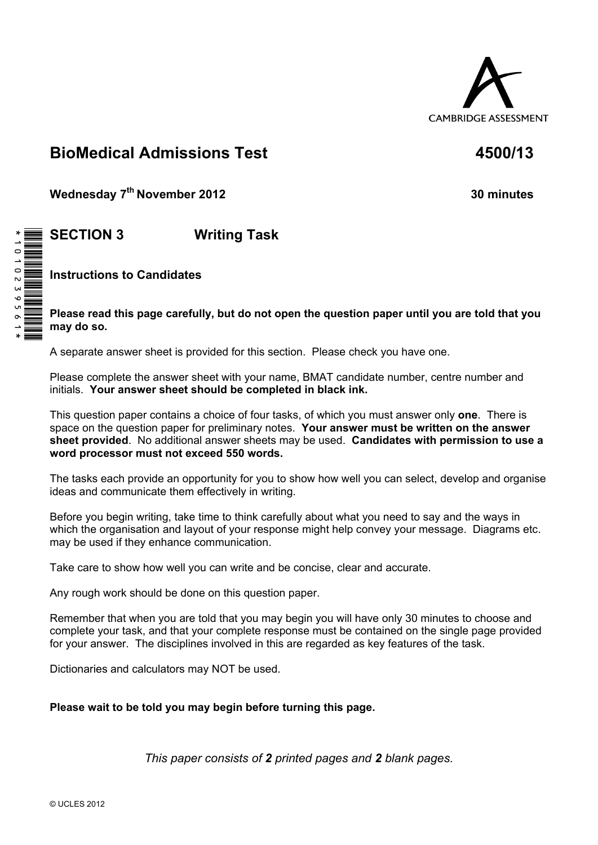

# **BioMedical Admissions Test 4500/13**

**Wednesday 7th November 2012 30 minutes**

# **SECTION 3 Writing Task**

**Instructions to Candidates** 

**Please read this page carefully, but do not open the question paper until you are told that you may do so.** 

A separate answer sheet is provided for this section. Please check you have one.

Please complete the answer sheet with your name, BMAT candidate number, centre number and initials. **Your answer sheet should be completed in black ink.**

This question paper contains a choice of four tasks, of which you must answer only **one**. There is space on the question paper for preliminary notes. **Your answer must be written on the answer sheet provided**. No additional answer sheets may be used. **Candidates with permission to use a word processor must not exceed 550 words.** 

The tasks each provide an opportunity for you to show how well you can select, develop and organise ideas and communicate them effectively in writing.

Before you begin writing, take time to think carefully about what you need to say and the ways in which the organisation and layout of your response might help convey your message. Diagrams etc. may be used if they enhance communication.

Take care to show how well you can write and be concise, clear and accurate.

Any rough work should be done on this question paper.

Remember that when you are told that you may begin you will have only 30 minutes to choose and complete your task, and that your complete response must be contained on the single page provided for your answer. The disciplines involved in this are regarded as key features of the task.

Dictionaries and calculators may NOT be used.

**Please wait to be told you may begin before turning this page.** 

*This paper consists of 2 printed pages and 2 blank pages.*

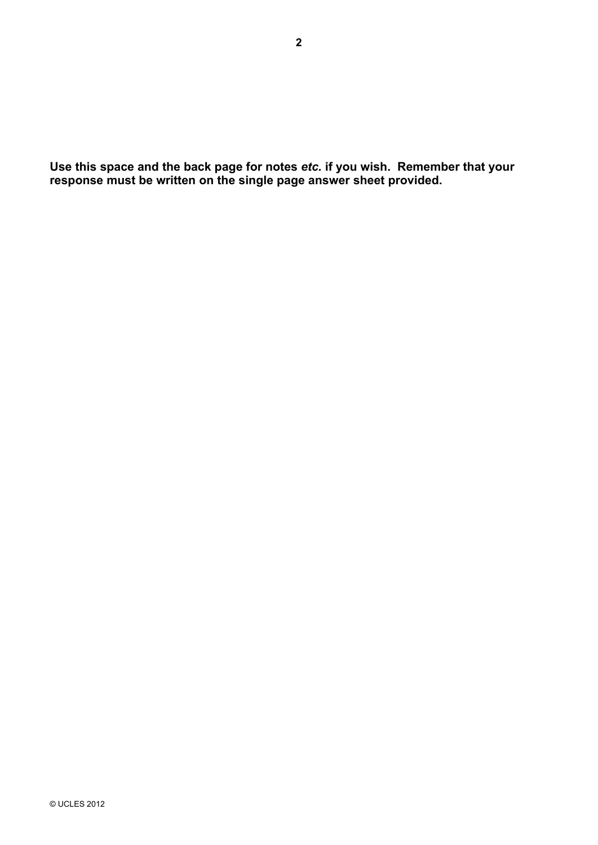**Use this space and the back page for notes** *etc.* **if you wish. Remember that your response must be written on the single page answer sheet provided.**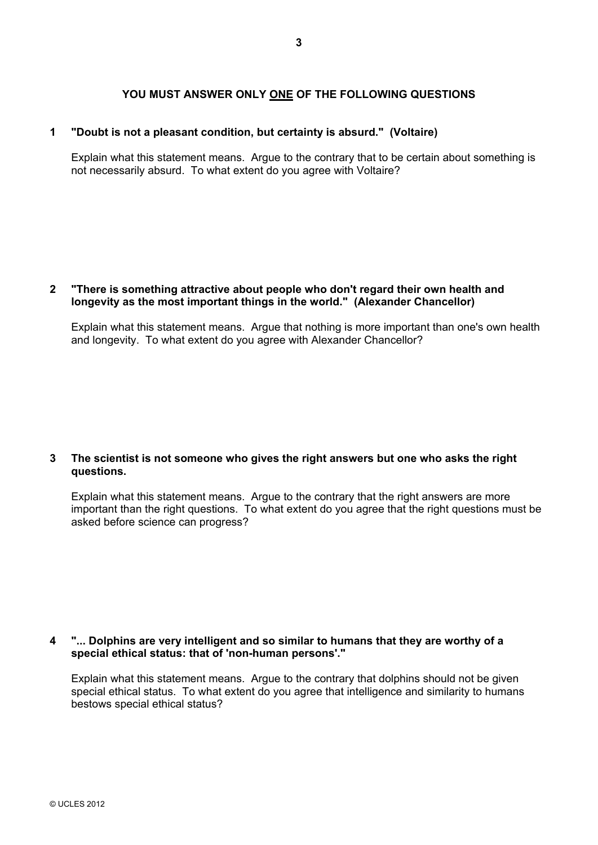## **YOU MUST ANSWER ONLY ONE OF THE FOLLOWING QUESTIONS**

#### **1 "Doubt is not a pleasant condition, but certainty is absurd." (Voltaire)**

Explain what this statement means. Argue to the contrary that to be certain about something is not necessarily absurd. To what extent do you agree with Voltaire?

### **2 "There is something attractive about people who don't regard their own health and longevity as the most important things in the world." (Alexander Chancellor)**

Explain what this statement means. Argue that nothing is more important than one's own health and longevity. To what extent do you agree with Alexander Chancellor?

#### **3 The scientist is not someone who gives the right answers but one who asks the right questions.**

Explain what this statement means. Argue to the contrary that the right answers are more important than the right questions. To what extent do you agree that the right questions must be asked before science can progress?

#### **4 "... Dolphins are very intelligent and so similar to humans that they are worthy of a special ethical status: that of 'non-human persons'."**

Explain what this statement means. Argue to the contrary that dolphins should not be given special ethical status. To what extent do you agree that intelligence and similarity to humans bestows special ethical status?